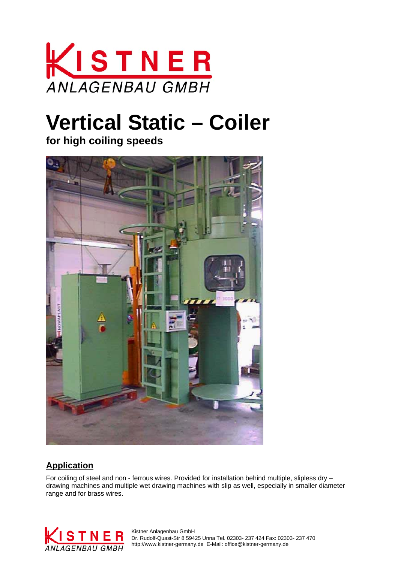

# **Vertical Static – Coiler**

**for high coiling speeds**



### **Application**

For coiling of steel and non - ferrous wires. Provided for installation behind multiple, slipless dry – drawing machines and multiple wet drawing machines with slip as well, especially in smaller diameter range and for brass wires.



 Dr. Rudolf-Quast-Str 8 59425 Unna Tel. 02303- 237 424 Fax: 02303- 237 470 ANI AGENBAII GMBH http://www.kistner-germany.de E-Mail: office@kistner-germany.de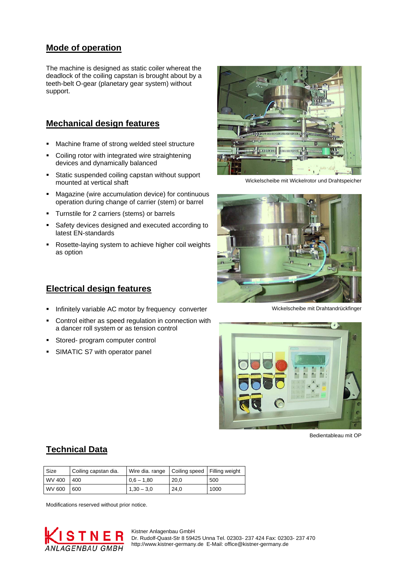#### **Mode of operation**

The machine is designed as static coiler whereat the deadlock of the coiling capstan is brought about by a teeth-belt O-gear (planetary gear system) without support.

#### **Mechanical design features**

- Machine frame of strong welded steel structure
- Coiling rotor with integrated wire straightening devices and dynamically balanced
- **Static suspended coiling capstan without support** mounted at vertical shaft
- Magazine (wire accumulation device) for continuous operation during change of carrier (stem) or barrel
- Turnstile for 2 carriers (stems) or barrels
- Safety devices designed and executed according to latest EN-standards
- Rosette-laying system to achieve higher coil weights as option



Wickelscheibe mit Wickelrotor und Drahtspeicher



Wickelscheibe mit Drahtandrückfinger



Bedientableau mit OP

#### **Electrical design features**

- Infinitely variable AC motor by frequency converter
- Control either as speed regulation in connection with a dancer roll system or as tension control
- Stored- program computer control
- SIMATIC S7 with operator panel

**Technical Data**

| <b>Size</b> | Coiling capstan dia. | Wire dia. range   Coiling speed   Filling weight |      |      |
|-------------|----------------------|--------------------------------------------------|------|------|
| WV 400      | 400                  | $0.6 - 1.80$                                     | 20.0 | 500  |
| WV 600      | 600                  | $1,30 - 3,0$                                     | 24,0 | 1000 |

Modifications reserved without prior notice.